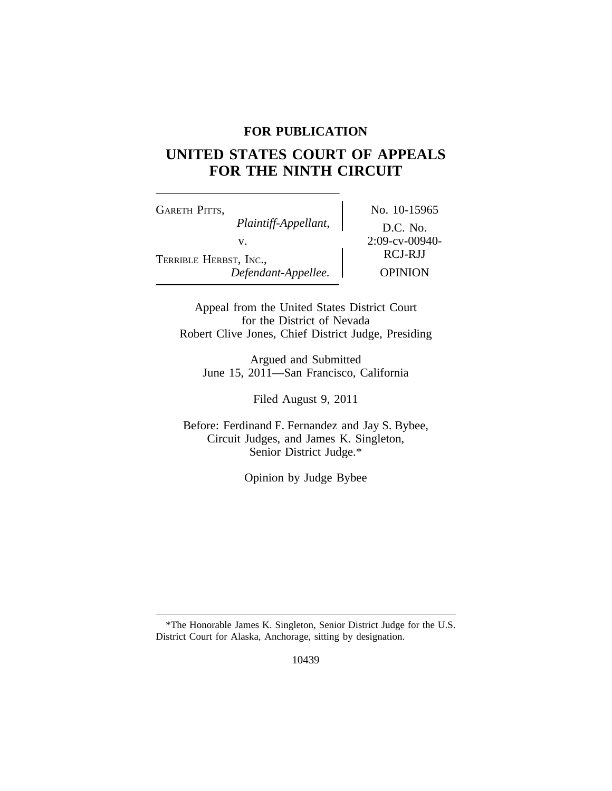### **FOR PUBLICATION**

# **UNITED STATES COURT OF APPEALS FOR THE NINTH CIRCUIT**

GARETH PITTS, No. 10-15965 *Plaintiff-Appellant,* D.C. No. v. 2:09-cv-00940-<br>RCJ-RJJ TERRIBLE HERBST, INC., *Defendant-Appellee.* OPINION

Appeal from the United States District Court for the District of Nevada Robert Clive Jones, Chief District Judge, Presiding

Argued and Submitted June 15, 2011—San Francisco, California

Filed August 9, 2011

Before: Ferdinand F. Fernandez and Jay S. Bybee, Circuit Judges, and James K. Singleton, Senior District Judge.\*

Opinion by Judge Bybee

<sup>\*</sup>The Honorable James K. Singleton, Senior District Judge for the U.S. District Court for Alaska, Anchorage, sitting by designation.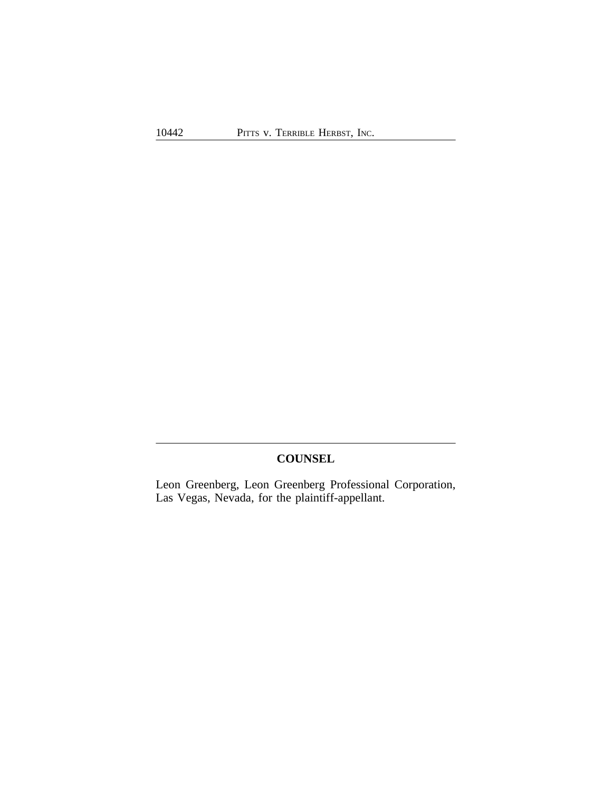## **COUNSEL**

Leon Greenberg, Leon Greenberg Professional Corporation, Las Vegas, Nevada, for the plaintiff-appellant.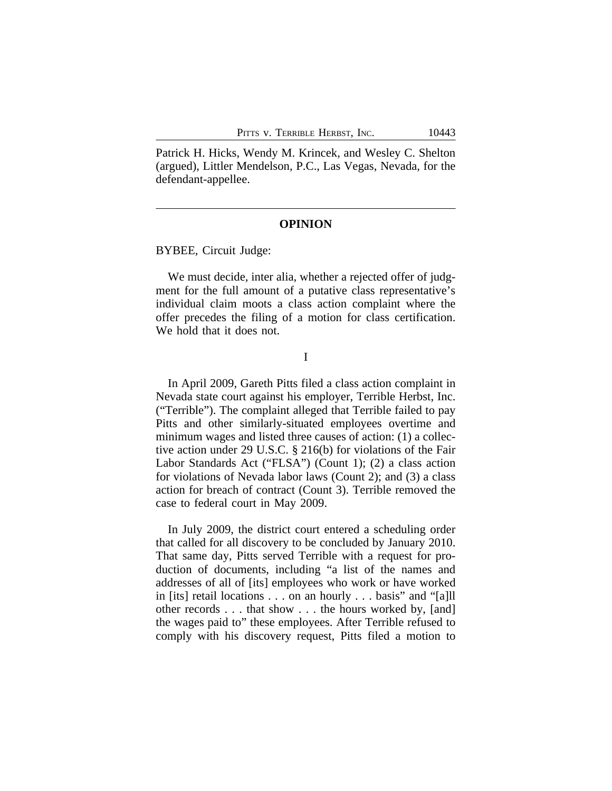Patrick H. Hicks, Wendy M. Krincek, and Wesley C. Shelton (argued), Littler Mendelson, P.C., Las Vegas, Nevada, for the defendant-appellee.

### **OPINION**

BYBEE, Circuit Judge:

We must decide, inter alia, whether a rejected offer of judgment for the full amount of a putative class representative's individual claim moots a class action complaint where the offer precedes the filing of a motion for class certification. We hold that it does not.

I

In April 2009, Gareth Pitts filed a class action complaint in Nevada state court against his employer, Terrible Herbst, Inc. ("Terrible"). The complaint alleged that Terrible failed to pay Pitts and other similarly-situated employees overtime and minimum wages and listed three causes of action: (1) a collective action under 29 U.S.C. § 216(b) for violations of the Fair Labor Standards Act ("FLSA") (Count 1); (2) a class action for violations of Nevada labor laws (Count 2); and (3) a class action for breach of contract (Count 3). Terrible removed the case to federal court in May 2009.

In July 2009, the district court entered a scheduling order that called for all discovery to be concluded by January 2010. That same day, Pitts served Terrible with a request for production of documents, including "a list of the names and addresses of all of [its] employees who work or have worked in [its] retail locations . . . on an hourly . . . basis" and "[a]ll other records . . . that show . . . the hours worked by, [and] the wages paid to" these employees. After Terrible refused to comply with his discovery request, Pitts filed a motion to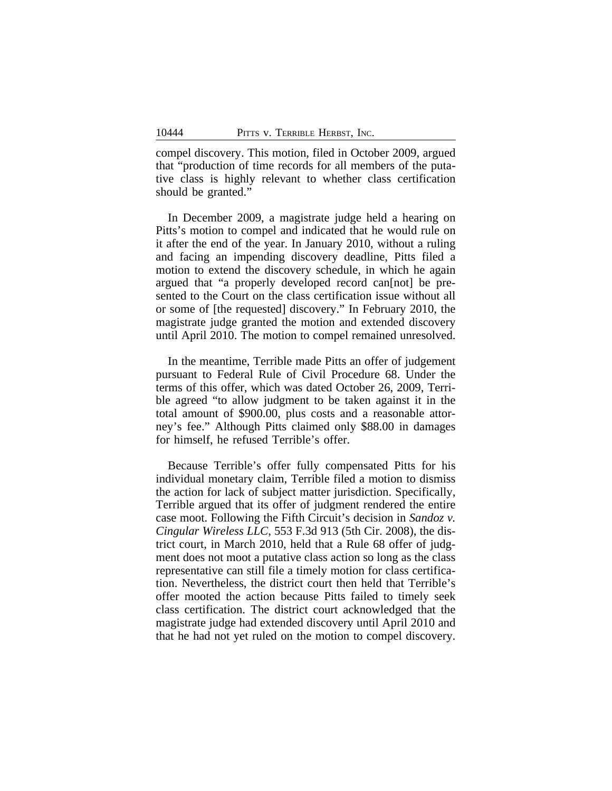compel discovery. This motion, filed in October 2009, argued that "production of time records for all members of the putative class is highly relevant to whether class certification should be granted."

In December 2009, a magistrate judge held a hearing on Pitts's motion to compel and indicated that he would rule on it after the end of the year. In January 2010, without a ruling and facing an impending discovery deadline, Pitts filed a motion to extend the discovery schedule, in which he again argued that "a properly developed record can[not] be presented to the Court on the class certification issue without all or some of [the requested] discovery." In February 2010, the magistrate judge granted the motion and extended discovery until April 2010. The motion to compel remained unresolved.

In the meantime, Terrible made Pitts an offer of judgement pursuant to Federal Rule of Civil Procedure 68. Under the terms of this offer, which was dated October 26, 2009, Terrible agreed "to allow judgment to be taken against it in the total amount of \$900.00, plus costs and a reasonable attorney's fee." Although Pitts claimed only \$88.00 in damages for himself, he refused Terrible's offer.

Because Terrible's offer fully compensated Pitts for his individual monetary claim, Terrible filed a motion to dismiss the action for lack of subject matter jurisdiction. Specifically, Terrible argued that its offer of judgment rendered the entire case moot. Following the Fifth Circuit's decision in *Sandoz v. Cingular Wireless LLC*, 553 F.3d 913 (5th Cir. 2008), the district court, in March 2010, held that a Rule 68 offer of judgment does not moot a putative class action so long as the class representative can still file a timely motion for class certification. Nevertheless, the district court then held that Terrible's offer mooted the action because Pitts failed to timely seek class certification. The district court acknowledged that the magistrate judge had extended discovery until April 2010 and that he had not yet ruled on the motion to compel discovery.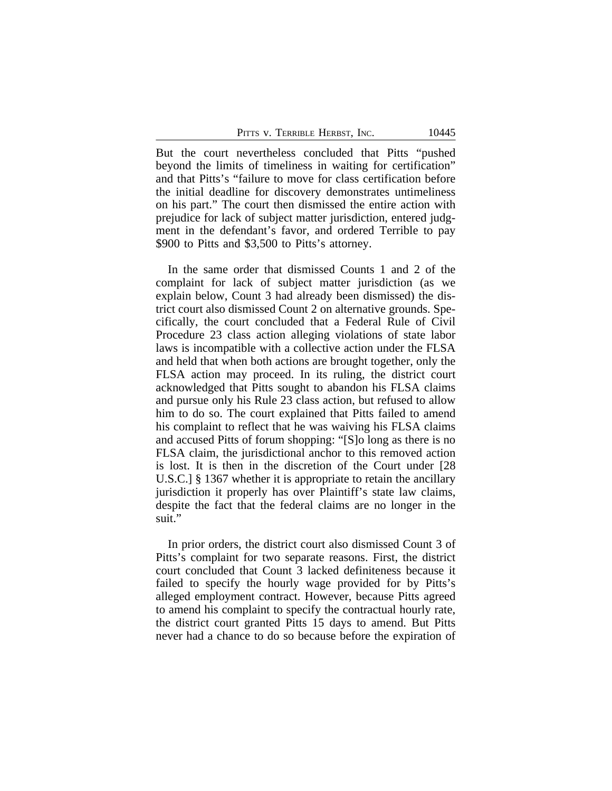PITTS V. TERRIBLE HERBST, INC. 10445

But the court nevertheless concluded that Pitts "pushed beyond the limits of timeliness in waiting for certification" and that Pitts's "failure to move for class certification before the initial deadline for discovery demonstrates untimeliness on his part." The court then dismissed the entire action with prejudice for lack of subject matter jurisdiction, entered judgment in the defendant's favor, and ordered Terrible to pay \$900 to Pitts and \$3,500 to Pitts's attorney.

In the same order that dismissed Counts 1 and 2 of the complaint for lack of subject matter jurisdiction (as we explain below, Count 3 had already been dismissed) the district court also dismissed Count 2 on alternative grounds. Specifically, the court concluded that a Federal Rule of Civil Procedure 23 class action alleging violations of state labor laws is incompatible with a collective action under the FLSA and held that when both actions are brought together, only the FLSA action may proceed. In its ruling, the district court acknowledged that Pitts sought to abandon his FLSA claims and pursue only his Rule 23 class action, but refused to allow him to do so. The court explained that Pitts failed to amend his complaint to reflect that he was waiving his FLSA claims and accused Pitts of forum shopping: "[S]o long as there is no FLSA claim, the jurisdictional anchor to this removed action is lost. It is then in the discretion of the Court under [28 U.S.C.] § 1367 whether it is appropriate to retain the ancillary jurisdiction it properly has over Plaintiff's state law claims, despite the fact that the federal claims are no longer in the suit."

In prior orders, the district court also dismissed Count 3 of Pitts's complaint for two separate reasons. First, the district court concluded that Count 3 lacked definiteness because it failed to specify the hourly wage provided for by Pitts's alleged employment contract. However, because Pitts agreed to amend his complaint to specify the contractual hourly rate, the district court granted Pitts 15 days to amend. But Pitts never had a chance to do so because before the expiration of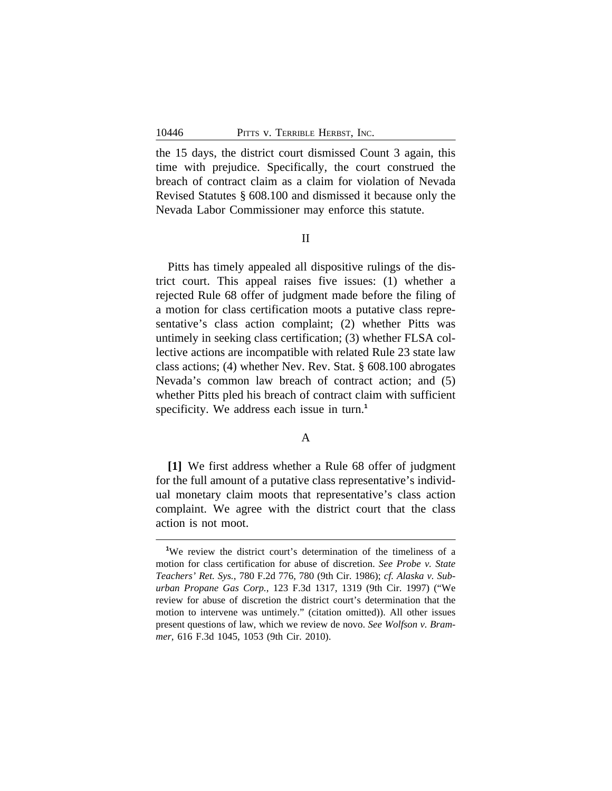the 15 days, the district court dismissed Count 3 again, this time with prejudice. Specifically, the court construed the breach of contract claim as a claim for violation of Nevada Revised Statutes § 608.100 and dismissed it because only the Nevada Labor Commissioner may enforce this statute.

II

Pitts has timely appealed all dispositive rulings of the district court. This appeal raises five issues: (1) whether a rejected Rule 68 offer of judgment made before the filing of a motion for class certification moots a putative class representative's class action complaint; (2) whether Pitts was untimely in seeking class certification; (3) whether FLSA collective actions are incompatible with related Rule 23 state law class actions; (4) whether Nev. Rev. Stat. § 608.100 abrogates Nevada's common law breach of contract action; and (5) whether Pitts pled his breach of contract claim with sufficient specificity. We address each issue in turn.**<sup>1</sup>**

### A

**[1]** We first address whether a Rule 68 offer of judgment for the full amount of a putative class representative's individual monetary claim moots that representative's class action complaint. We agree with the district court that the class action is not moot.

<sup>&</sup>lt;sup>1</sup>We review the district court's determination of the timeliness of a motion for class certification for abuse of discretion. *See Probe v. State Teachers' Ret. Sys.*, 780 F.2d 776, 780 (9th Cir. 1986); *cf. Alaska v. Suburban Propane Gas Corp.*, 123 F.3d 1317, 1319 (9th Cir. 1997) ("We review for abuse of discretion the district court's determination that the motion to intervene was untimely." (citation omitted)). All other issues present questions of law, which we review de novo. *See Wolfson v. Brammer*, 616 F.3d 1045, 1053 (9th Cir. 2010).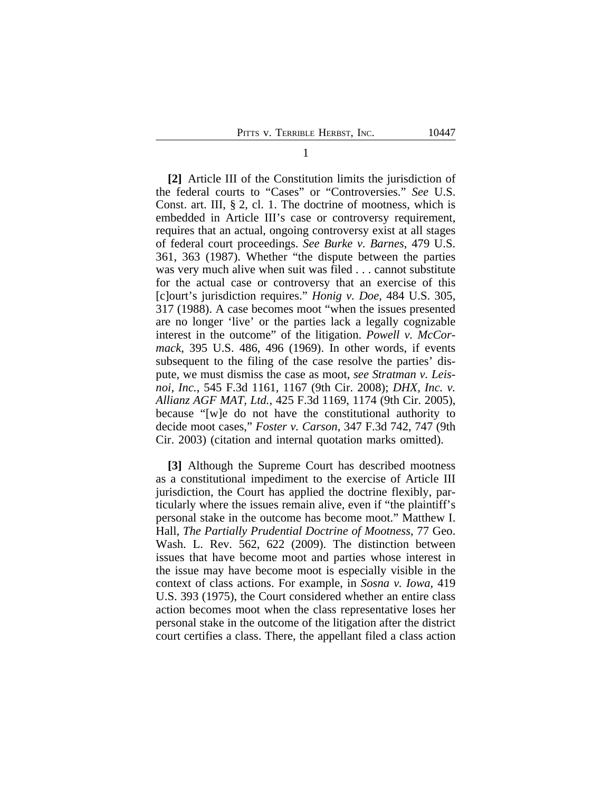**[2]** Article III of the Constitution limits the jurisdiction of the federal courts to "Cases" or "Controversies." *See* U.S. Const. art. III, § 2, cl. 1. The doctrine of mootness, which is embedded in Article III's case or controversy requirement, requires that an actual, ongoing controversy exist at all stages of federal court proceedings. *See Burke v. Barnes*, 479 U.S. 361, 363 (1987). Whether "the dispute between the parties was very much alive when suit was filed . . . cannot substitute for the actual case or controversy that an exercise of this [c]ourt's jurisdiction requires." *Honig v. Doe*, 484 U.S. 305, 317 (1988). A case becomes moot "when the issues presented are no longer 'live' or the parties lack a legally cognizable interest in the outcome" of the litigation. *Powell v. McCormack*, 395 U.S. 486, 496 (1969). In other words, if events subsequent to the filing of the case resolve the parties' dispute, we must dismiss the case as moot, *see Stratman v. Leisnoi, Inc.*, 545 F.3d 1161, 1167 (9th Cir. 2008); *DHX, Inc. v. Allianz AGF MAT, Ltd.*, 425 F.3d 1169, 1174 (9th Cir. 2005), because "[w]e do not have the constitutional authority to decide moot cases," *Foster v. Carson*, 347 F.3d 742, 747 (9th Cir. 2003) (citation and internal quotation marks omitted).

**[3]** Although the Supreme Court has described mootness as a constitutional impediment to the exercise of Article III jurisdiction, the Court has applied the doctrine flexibly, particularly where the issues remain alive, even if "the plaintiff's personal stake in the outcome has become moot." Matthew I. Hall, *The Partially Prudential Doctrine of Mootness*, 77 Geo. Wash. L. Rev. 562, 622 (2009). The distinction between issues that have become moot and parties whose interest in the issue may have become moot is especially visible in the context of class actions. For example, in *Sosna v. Iowa*, 419 U.S. 393 (1975), the Court considered whether an entire class action becomes moot when the class representative loses her personal stake in the outcome of the litigation after the district court certifies a class. There, the appellant filed a class action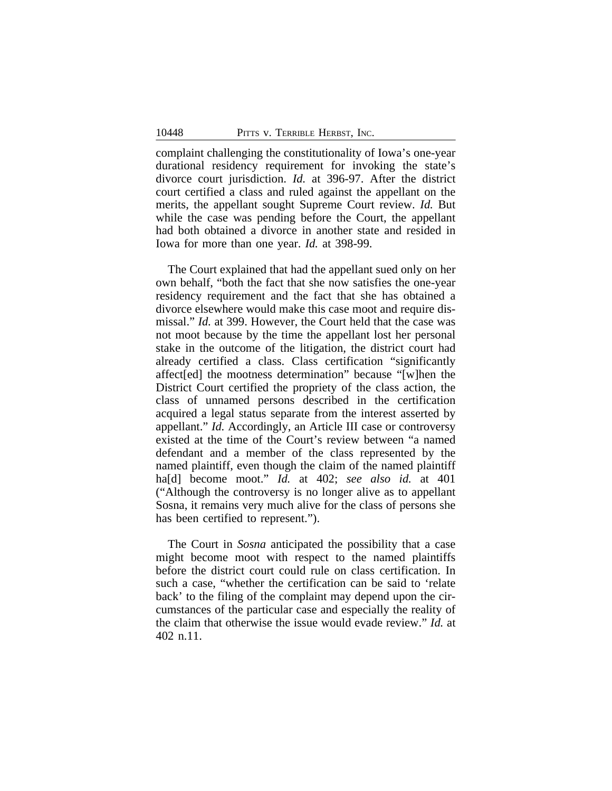complaint challenging the constitutionality of Iowa's one-year durational residency requirement for invoking the state's divorce court jurisdiction. *Id.* at 396-97. After the district court certified a class and ruled against the appellant on the merits, the appellant sought Supreme Court review. *Id.* But while the case was pending before the Court, the appellant had both obtained a divorce in another state and resided in Iowa for more than one year. *Id.* at 398-99.

The Court explained that had the appellant sued only on her own behalf, "both the fact that she now satisfies the one-year residency requirement and the fact that she has obtained a divorce elsewhere would make this case moot and require dismissal." *Id.* at 399. However, the Court held that the case was not moot because by the time the appellant lost her personal stake in the outcome of the litigation, the district court had already certified a class. Class certification "significantly affect[ed] the mootness determination" because "[w]hen the District Court certified the propriety of the class action, the class of unnamed persons described in the certification acquired a legal status separate from the interest asserted by appellant." *Id.* Accordingly, an Article III case or controversy existed at the time of the Court's review between "a named defendant and a member of the class represented by the named plaintiff, even though the claim of the named plaintiff ha[d] become moot." *Id.* at 402; *see also id.* at 401 ("Although the controversy is no longer alive as to appellant Sosna, it remains very much alive for the class of persons she has been certified to represent.").

The Court in *Sosna* anticipated the possibility that a case might become moot with respect to the named plaintiffs before the district court could rule on class certification. In such a case, "whether the certification can be said to 'relate back' to the filing of the complaint may depend upon the circumstances of the particular case and especially the reality of the claim that otherwise the issue would evade review." *Id.* at 402 n.11.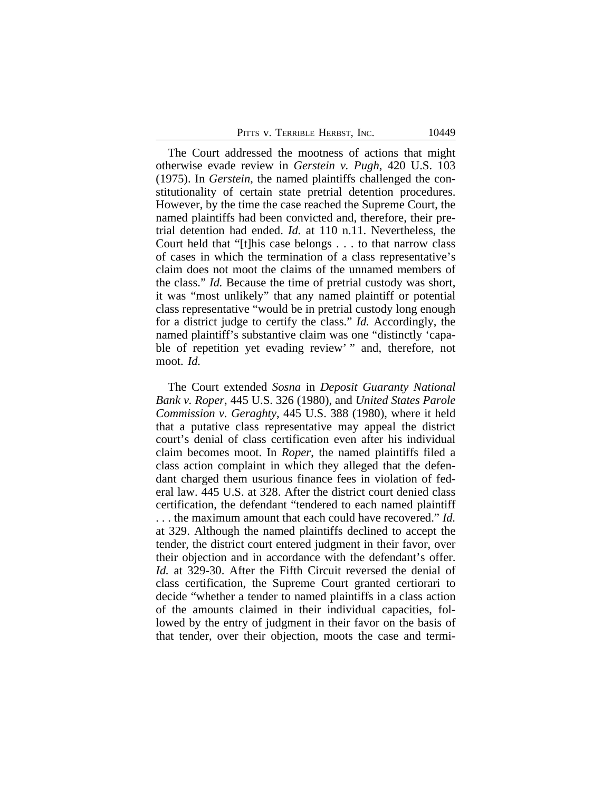|  | PITTS V. TERRIBLE HERBST, INC. |  |  | 10449 |
|--|--------------------------------|--|--|-------|
|--|--------------------------------|--|--|-------|

The Court addressed the mootness of actions that might otherwise evade review in *Gerstein v. Pugh*, 420 U.S. 103 (1975). In *Gerstein*, the named plaintiffs challenged the constitutionality of certain state pretrial detention procedures. However, by the time the case reached the Supreme Court, the named plaintiffs had been convicted and, therefore, their pretrial detention had ended. *Id.* at 110 n.11. Nevertheless, the Court held that "[t]his case belongs . . . to that narrow class of cases in which the termination of a class representative's claim does not moot the claims of the unnamed members of the class." *Id.* Because the time of pretrial custody was short, it was "most unlikely" that any named plaintiff or potential class representative "would be in pretrial custody long enough for a district judge to certify the class." *Id.* Accordingly, the named plaintiff's substantive claim was one "distinctly 'capable of repetition yet evading review' " and, therefore, not moot. *Id.*

The Court extended *Sosna* in *Deposit Guaranty National Bank v. Roper*, 445 U.S. 326 (1980), and *United States Parole Commission v. Geraghty*, 445 U.S. 388 (1980), where it held that a putative class representative may appeal the district court's denial of class certification even after his individual claim becomes moot. In *Roper*, the named plaintiffs filed a class action complaint in which they alleged that the defendant charged them usurious finance fees in violation of federal law. 445 U.S. at 328. After the district court denied class certification, the defendant "tendered to each named plaintiff . . . the maximum amount that each could have recovered." *Id.* at 329. Although the named plaintiffs declined to accept the tender, the district court entered judgment in their favor, over their objection and in accordance with the defendant's offer. *Id.* at 329-30. After the Fifth Circuit reversed the denial of class certification, the Supreme Court granted certiorari to decide "whether a tender to named plaintiffs in a class action of the amounts claimed in their individual capacities, followed by the entry of judgment in their favor on the basis of that tender, over their objection, moots the case and termi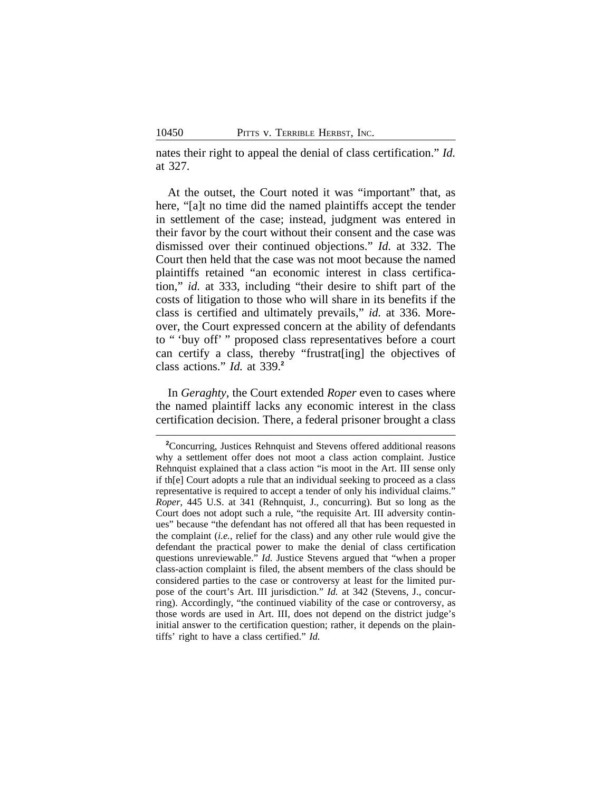nates their right to appeal the denial of class certification." *Id.* at 327.

At the outset, the Court noted it was "important" that, as here, "[a]t no time did the named plaintiffs accept the tender in settlement of the case; instead, judgment was entered in their favor by the court without their consent and the case was dismissed over their continued objections." *Id.* at 332. The Court then held that the case was not moot because the named plaintiffs retained "an economic interest in class certification," *id.* at 333, including "their desire to shift part of the costs of litigation to those who will share in its benefits if the class is certified and ultimately prevails," *id.* at 336. Moreover, the Court expressed concern at the ability of defendants to " 'buy off' " proposed class representatives before a court can certify a class, thereby "frustrat[ing] the objectives of class actions." *Id.* at 339.**<sup>2</sup>**

In *Geraghty*, the Court extended *Roper* even to cases where the named plaintiff lacks any economic interest in the class certification decision. There, a federal prisoner brought a class

**<sup>2</sup>**Concurring, Justices Rehnquist and Stevens offered additional reasons why a settlement offer does not moot a class action complaint. Justice Rehnquist explained that a class action "is moot in the Art. III sense only if th[e] Court adopts a rule that an individual seeking to proceed as a class representative is required to accept a tender of only his individual claims." *Roper*, 445 U.S. at 341 (Rehnquist, J., concurring). But so long as the Court does not adopt such a rule, "the requisite Art. III adversity continues" because "the defendant has not offered all that has been requested in the complaint (*i.e.*, relief for the class) and any other rule would give the defendant the practical power to make the denial of class certification questions unreviewable." *Id.* Justice Stevens argued that "when a proper class-action complaint is filed, the absent members of the class should be considered parties to the case or controversy at least for the limited purpose of the court's Art. III jurisdiction." *Id.* at 342 (Stevens, J., concurring). Accordingly, "the continued viability of the case or controversy, as those words are used in Art. III, does not depend on the district judge's initial answer to the certification question; rather, it depends on the plaintiffs' right to have a class certified." *Id.*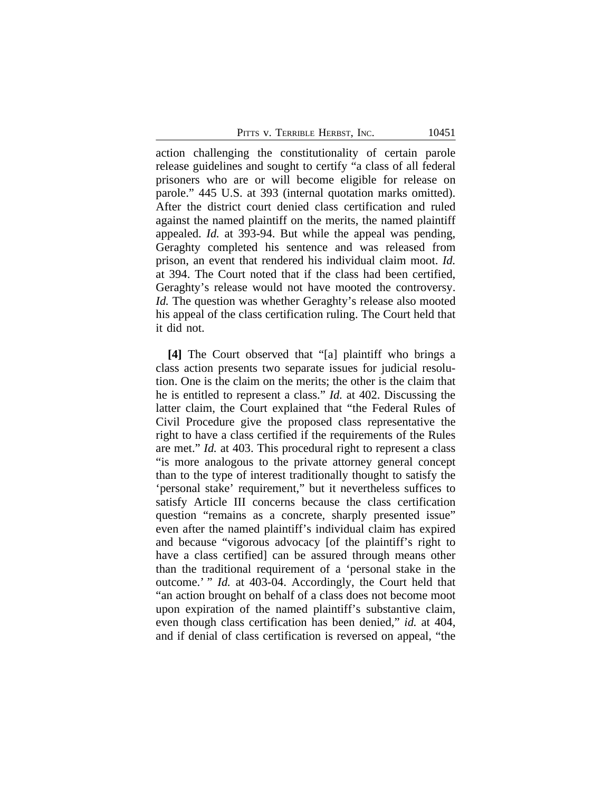PITTS V. TERRIBLE HERBST, INC. 10451

action challenging the constitutionality of certain parole release guidelines and sought to certify "a class of all federal prisoners who are or will become eligible for release on parole." 445 U.S. at 393 (internal quotation marks omitted). After the district court denied class certification and ruled against the named plaintiff on the merits, the named plaintiff appealed. *Id.* at 393-94. But while the appeal was pending, Geraghty completed his sentence and was released from prison, an event that rendered his individual claim moot. *Id.* at 394. The Court noted that if the class had been certified, Geraghty's release would not have mooted the controversy. *Id.* The question was whether Geraghty's release also mooted his appeal of the class certification ruling. The Court held that it did not.

**[4]** The Court observed that "[a] plaintiff who brings a class action presents two separate issues for judicial resolution. One is the claim on the merits; the other is the claim that he is entitled to represent a class." *Id.* at 402. Discussing the latter claim, the Court explained that "the Federal Rules of Civil Procedure give the proposed class representative the right to have a class certified if the requirements of the Rules are met." *Id.* at 403. This procedural right to represent a class "is more analogous to the private attorney general concept than to the type of interest traditionally thought to satisfy the 'personal stake' requirement," but it nevertheless suffices to satisfy Article III concerns because the class certification question "remains as a concrete, sharply presented issue" even after the named plaintiff's individual claim has expired and because "vigorous advocacy [of the plaintiff's right to have a class certified] can be assured through means other than the traditional requirement of a 'personal stake in the outcome.' " *Id.* at 403-04. Accordingly, the Court held that "an action brought on behalf of a class does not become moot upon expiration of the named plaintiff's substantive claim, even though class certification has been denied," *id.* at 404, and if denial of class certification is reversed on appeal, "the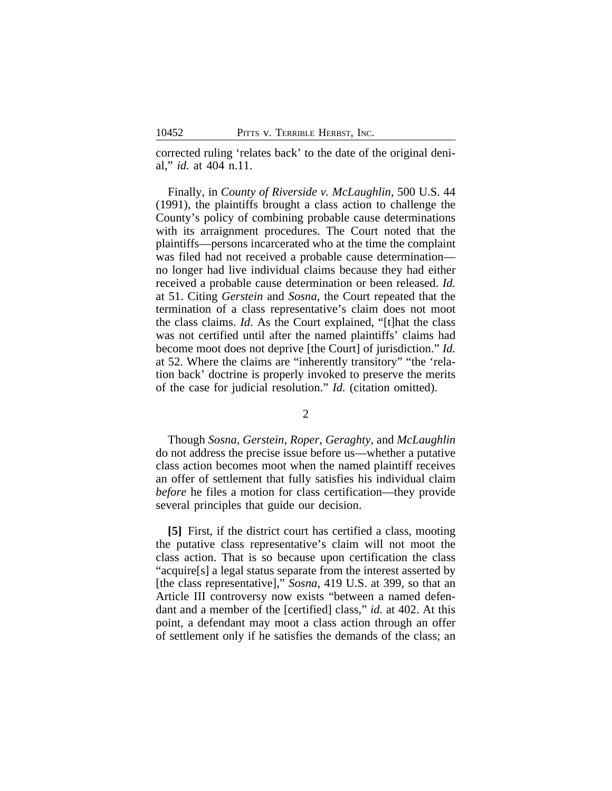corrected ruling 'relates back' to the date of the original denial," *id.* at 404 n.11.

Finally, in *County of Riverside v. McLaughlin*, 500 U.S. 44 (1991), the plaintiffs brought a class action to challenge the County's policy of combining probable cause determinations with its arraignment procedures. The Court noted that the plaintiffs—persons incarcerated who at the time the complaint was filed had not received a probable cause determination no longer had live individual claims because they had either received a probable cause determination or been released. *Id.* at 51. Citing *Gerstein* and *Sosna*, the Court repeated that the termination of a class representative's claim does not moot the class claims. *Id.* As the Court explained, "[t]hat the class was not certified until after the named plaintiffs' claims had become moot does not deprive [the Court] of jurisdiction." *Id.* at 52. Where the claims are "inherently transitory" "the 'relation back' doctrine is properly invoked to preserve the merits of the case for judicial resolution." *Id.* (citation omitted).

2

Though *Sosna*, *Gerstein*, *Roper*, *Geraghty*, and *McLaughlin* do not address the precise issue before us—whether a putative class action becomes moot when the named plaintiff receives an offer of settlement that fully satisfies his individual claim *before* he files a motion for class certification—they provide several principles that guide our decision.

**[5]** First, if the district court has certified a class, mooting the putative class representative's claim will not moot the class action. That is so because upon certification the class "acquire[s] a legal status separate from the interest asserted by [the class representative]," *Sosna*, 419 U.S. at 399, so that an Article III controversy now exists "between a named defendant and a member of the [certified] class," *id.* at 402. At this point, a defendant may moot a class action through an offer of settlement only if he satisfies the demands of the class; an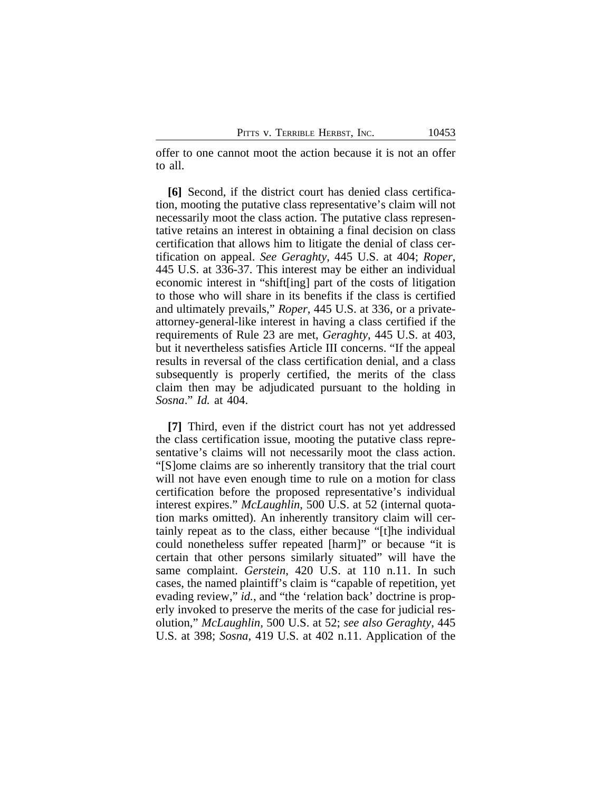offer to one cannot moot the action because it is not an offer to all.

**[6]** Second, if the district court has denied class certification, mooting the putative class representative's claim will not necessarily moot the class action. The putative class representative retains an interest in obtaining a final decision on class certification that allows him to litigate the denial of class certification on appeal. *See Geraghty*, 445 U.S. at 404; *Roper*, 445 U.S. at 336-37. This interest may be either an individual economic interest in "shift[ing] part of the costs of litigation to those who will share in its benefits if the class is certified and ultimately prevails," *Roper*, 445 U.S. at 336, or a privateattorney-general-like interest in having a class certified if the requirements of Rule 23 are met, *Geraghty*, 445 U.S. at 403, but it nevertheless satisfies Article III concerns. "If the appeal results in reversal of the class certification denial, and a class subsequently is properly certified, the merits of the class claim then may be adjudicated pursuant to the holding in *Sosna*." *Id.* at 404.

**[7]** Third, even if the district court has not yet addressed the class certification issue, mooting the putative class representative's claims will not necessarily moot the class action. "[S]ome claims are so inherently transitory that the trial court will not have even enough time to rule on a motion for class certification before the proposed representative's individual interest expires." *McLaughlin*, 500 U.S. at 52 (internal quotation marks omitted). An inherently transitory claim will certainly repeat as to the class, either because "[t]he individual could nonetheless suffer repeated [harm]" or because "it is certain that other persons similarly situated" will have the same complaint. *Gerstein*, 420 U.S. at 110 n.11. In such cases, the named plaintiff's claim is "capable of repetition, yet evading review," *id.*, and "the 'relation back' doctrine is properly invoked to preserve the merits of the case for judicial resolution," *McLaughlin,* 500 U.S. at 52; *see also Geraghty*, 445 U.S. at 398; *Sosna*, 419 U.S. at 402 n.11. Application of the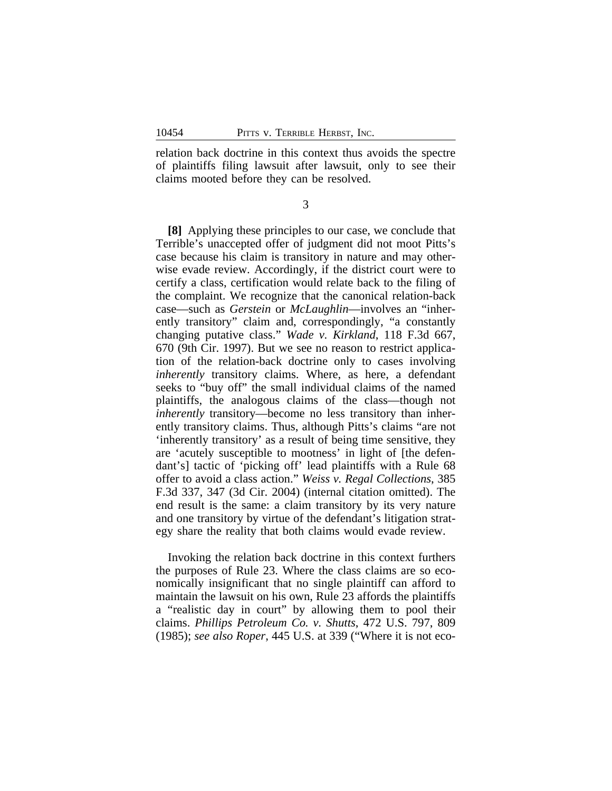relation back doctrine in this context thus avoids the spectre of plaintiffs filing lawsuit after lawsuit, only to see their claims mooted before they can be resolved.

3

**[8]** Applying these principles to our case, we conclude that Terrible's unaccepted offer of judgment did not moot Pitts's case because his claim is transitory in nature and may otherwise evade review. Accordingly, if the district court were to certify a class, certification would relate back to the filing of the complaint. We recognize that the canonical relation-back case—such as *Gerstein* or *McLaughlin*—involves an "inherently transitory" claim and, correspondingly, "a constantly changing putative class." *Wade v. Kirkland*, 118 F.3d 667, 670 (9th Cir. 1997). But we see no reason to restrict application of the relation-back doctrine only to cases involving *inherently* transitory claims. Where, as here, a defendant seeks to "buy off" the small individual claims of the named plaintiffs, the analogous claims of the class—though not *inherently* transitory—become no less transitory than inherently transitory claims. Thus, although Pitts's claims "are not 'inherently transitory' as a result of being time sensitive, they are 'acutely susceptible to mootness' in light of [the defendant's] tactic of 'picking off' lead plaintiffs with a Rule 68 offer to avoid a class action." *Weiss v. Regal Collections*, 385 F.3d 337, 347 (3d Cir. 2004) (internal citation omitted). The end result is the same: a claim transitory by its very nature and one transitory by virtue of the defendant's litigation strategy share the reality that both claims would evade review.

Invoking the relation back doctrine in this context furthers the purposes of Rule 23. Where the class claims are so economically insignificant that no single plaintiff can afford to maintain the lawsuit on his own, Rule 23 affords the plaintiffs a "realistic day in court" by allowing them to pool their claims. *Phillips Petroleum Co. v. Shutts*, 472 U.S. 797, 809 (1985); *see also Roper*, 445 U.S. at 339 ("Where it is not eco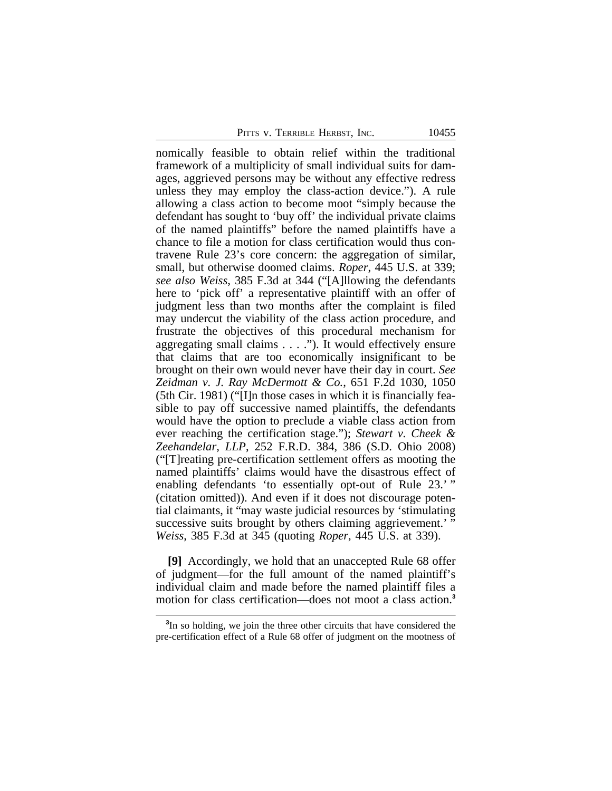PITTS V. TERRIBLE HERBST, INC. 10455

nomically feasible to obtain relief within the traditional framework of a multiplicity of small individual suits for damages, aggrieved persons may be without any effective redress unless they may employ the class-action device."). A rule allowing a class action to become moot "simply because the defendant has sought to 'buy off' the individual private claims of the named plaintiffs" before the named plaintiffs have a chance to file a motion for class certification would thus contravene Rule 23's core concern: the aggregation of similar, small, but otherwise doomed claims. *Roper*, 445 U.S. at 339; *see also Weiss*, 385 F.3d at 344 ("[A]llowing the defendants here to 'pick off' a representative plaintiff with an offer of judgment less than two months after the complaint is filed may undercut the viability of the class action procedure, and frustrate the objectives of this procedural mechanism for aggregating small claims . . . ."). It would effectively ensure that claims that are too economically insignificant to be brought on their own would never have their day in court. *See Zeidman v. J. Ray McDermott & Co.*, 651 F.2d 1030, 1050 (5th Cir. 1981) ("[I]n those cases in which it is financially feasible to pay off successive named plaintiffs, the defendants would have the option to preclude a viable class action from ever reaching the certification stage."); *Stewart v. Cheek & Zeehandelar, LLP*, 252 F.R.D. 384, 386 (S.D. Ohio 2008) ("[T]reating pre-certification settlement offers as mooting the named plaintiffs' claims would have the disastrous effect of enabling defendants 'to essentially opt-out of Rule 23.'" (citation omitted)). And even if it does not discourage potential claimants, it "may waste judicial resources by 'stimulating successive suits brought by others claiming aggrievement.'' *Weiss*, 385 F.3d at 345 (quoting *Roper*, 445 U.S. at 339).

**[9]** Accordingly, we hold that an unaccepted Rule 68 offer of judgment—for the full amount of the named plaintiff's individual claim and made before the named plaintiff files a motion for class certification—does not moot a class action.**<sup>3</sup>**

**<sup>3</sup>** In so holding, we join the three other circuits that have considered the pre-certification effect of a Rule 68 offer of judgment on the mootness of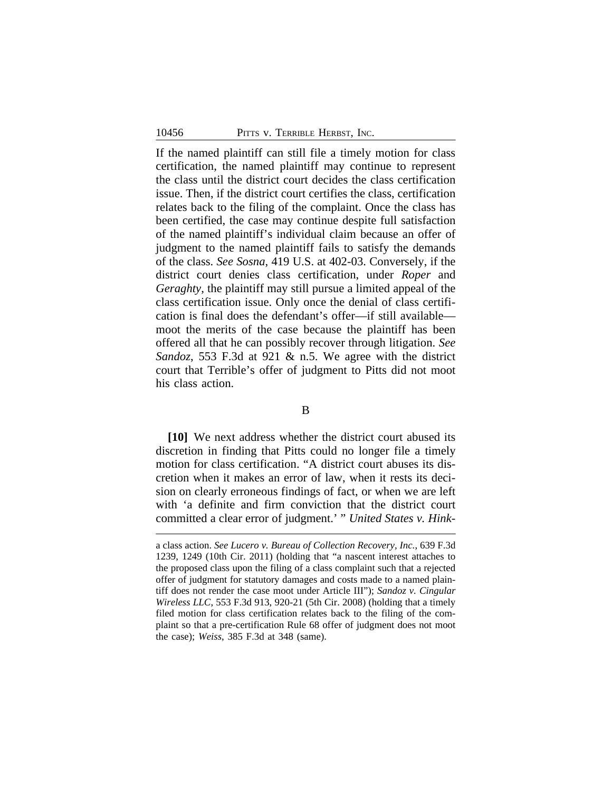If the named plaintiff can still file a timely motion for class certification, the named plaintiff may continue to represent the class until the district court decides the class certification issue. Then, if the district court certifies the class, certification relates back to the filing of the complaint. Once the class has been certified, the case may continue despite full satisfaction of the named plaintiff's individual claim because an offer of judgment to the named plaintiff fails to satisfy the demands of the class. *See Sosna*, 419 U.S. at 402-03. Conversely, if the district court denies class certification, under *Roper* and *Geraghty*, the plaintiff may still pursue a limited appeal of the class certification issue. Only once the denial of class certification is final does the defendant's offer—if still available moot the merits of the case because the plaintiff has been offered all that he can possibly recover through litigation. *See Sandoz*, 553 F.3d at 921 & n.5. We agree with the district court that Terrible's offer of judgment to Pitts did not moot his class action.

#### B

**[10]** We next address whether the district court abused its discretion in finding that Pitts could no longer file a timely motion for class certification. "A district court abuses its discretion when it makes an error of law, when it rests its decision on clearly erroneous findings of fact, or when we are left with 'a definite and firm conviction that the district court committed a clear error of judgment.' " *United States v. Hink-*

a class action. *See Lucero v. Bureau of Collection Recovery, Inc.*, 639 F.3d 1239, 1249 (10th Cir. 2011) (holding that "a nascent interest attaches to the proposed class upon the filing of a class complaint such that a rejected offer of judgment for statutory damages and costs made to a named plaintiff does not render the case moot under Article III"); *Sandoz v. Cingular Wireless LLC*, 553 F.3d 913, 920-21 (5th Cir. 2008) (holding that a timely filed motion for class certification relates back to the filing of the complaint so that a pre-certification Rule 68 offer of judgment does not moot the case); *Weiss*, 385 F.3d at 348 (same).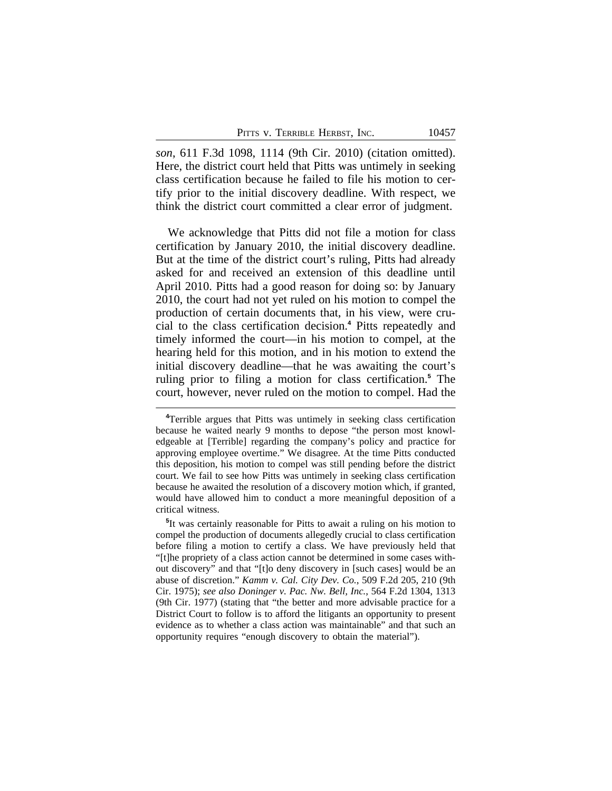|  | PITTS V. TERRIBLE HERBST, INC. |  |  |
|--|--------------------------------|--|--|
|--|--------------------------------|--|--|

*son*, 611 F.3d 1098, 1114 (9th Cir. 2010) (citation omitted). Here, the district court held that Pitts was untimely in seeking class certification because he failed to file his motion to certify prior to the initial discovery deadline. With respect, we think the district court committed a clear error of judgment.

We acknowledge that Pitts did not file a motion for class certification by January 2010, the initial discovery deadline. But at the time of the district court's ruling, Pitts had already asked for and received an extension of this deadline until April 2010. Pitts had a good reason for doing so: by January 2010, the court had not yet ruled on his motion to compel the production of certain documents that, in his view, were crucial to the class certification decision.**<sup>4</sup>** Pitts repeatedly and timely informed the court—in his motion to compel, at the hearing held for this motion, and in his motion to extend the initial discovery deadline—that he was awaiting the court's ruling prior to filing a motion for class certification.**<sup>5</sup>** The court, however, never ruled on the motion to compel. Had the

**5** It was certainly reasonable for Pitts to await a ruling on his motion to compel the production of documents allegedly crucial to class certification before filing a motion to certify a class. We have previously held that "[t]he propriety of a class action cannot be determined in some cases without discovery" and that "[t]o deny discovery in [such cases] would be an abuse of discretion." *Kamm v. Cal. City Dev. Co.*, 509 F.2d 205, 210 (9th Cir. 1975); *see also Doninger v. Pac. Nw. Bell, Inc.*, 564 F.2d 1304, 1313 (9th Cir. 1977) (stating that "the better and more advisable practice for a District Court to follow is to afford the litigants an opportunity to present evidence as to whether a class action was maintainable" and that such an opportunity requires "enough discovery to obtain the material").

**<sup>4</sup>**Terrible argues that Pitts was untimely in seeking class certification because he waited nearly 9 months to depose "the person most knowledgeable at [Terrible] regarding the company's policy and practice for approving employee overtime." We disagree. At the time Pitts conducted this deposition, his motion to compel was still pending before the district court. We fail to see how Pitts was untimely in seeking class certification because he awaited the resolution of a discovery motion which, if granted, would have allowed him to conduct a more meaningful deposition of a critical witness.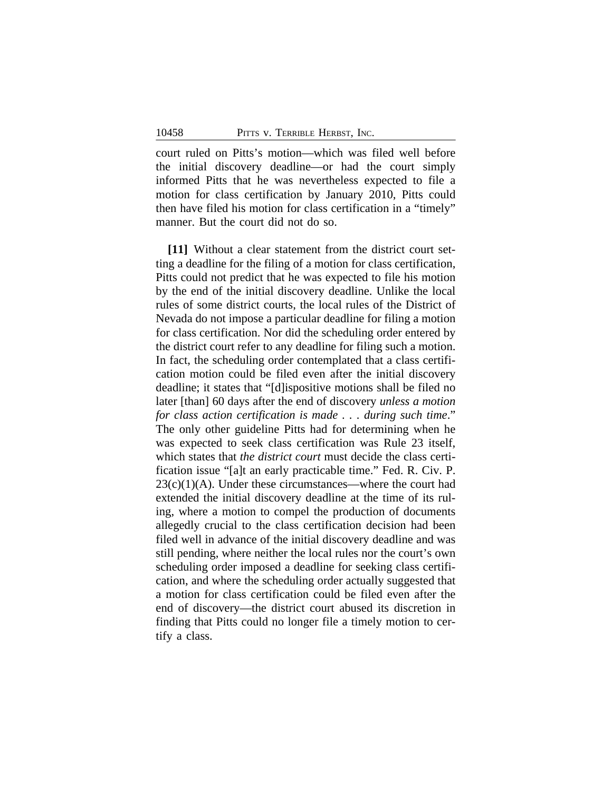court ruled on Pitts's motion—which was filed well before the initial discovery deadline—or had the court simply informed Pitts that he was nevertheless expected to file a motion for class certification by January 2010, Pitts could then have filed his motion for class certification in a "timely" manner. But the court did not do so.

**[11]** Without a clear statement from the district court setting a deadline for the filing of a motion for class certification, Pitts could not predict that he was expected to file his motion by the end of the initial discovery deadline. Unlike the local rules of some district courts, the local rules of the District of Nevada do not impose a particular deadline for filing a motion for class certification. Nor did the scheduling order entered by the district court refer to any deadline for filing such a motion. In fact, the scheduling order contemplated that a class certification motion could be filed even after the initial discovery deadline; it states that "[d]ispositive motions shall be filed no later [than] 60 days after the end of discovery *unless a motion for class action certification is made . . . during such time*." The only other guideline Pitts had for determining when he was expected to seek class certification was Rule 23 itself, which states that *the district court* must decide the class certification issue "[a]t an early practicable time." Fed. R. Civ. P.  $23(c)(1)(A)$ . Under these circumstances—where the court had extended the initial discovery deadline at the time of its ruling, where a motion to compel the production of documents allegedly crucial to the class certification decision had been filed well in advance of the initial discovery deadline and was still pending, where neither the local rules nor the court's own scheduling order imposed a deadline for seeking class certification, and where the scheduling order actually suggested that a motion for class certification could be filed even after the end of discovery—the district court abused its discretion in finding that Pitts could no longer file a timely motion to certify a class.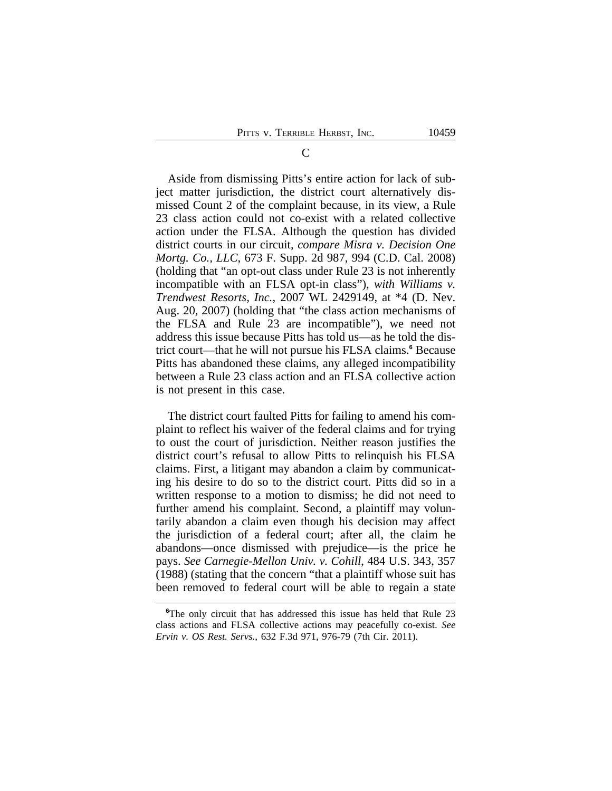Aside from dismissing Pitts's entire action for lack of subject matter jurisdiction, the district court alternatively dismissed Count 2 of the complaint because, in its view, a Rule 23 class action could not co-exist with a related collective action under the FLSA. Although the question has divided district courts in our circuit, *compare Misra v. Decision One Mortg. Co., LLC*, 673 F. Supp. 2d 987, 994 (C.D. Cal. 2008) (holding that "an opt-out class under Rule 23 is not inherently incompatible with an FLSA opt-in class"), *with Williams v. Trendwest Resorts, Inc.*, 2007 WL 2429149, at \*4 (D. Nev. Aug. 20, 2007) (holding that "the class action mechanisms of the FLSA and Rule 23 are incompatible"), we need not address this issue because Pitts has told us—as he told the district court—that he will not pursue his FLSA claims.**<sup>6</sup>** Because Pitts has abandoned these claims, any alleged incompatibility between a Rule 23 class action and an FLSA collective action is not present in this case.

The district court faulted Pitts for failing to amend his complaint to reflect his waiver of the federal claims and for trying to oust the court of jurisdiction. Neither reason justifies the district court's refusal to allow Pitts to relinquish his FLSA claims. First, a litigant may abandon a claim by communicating his desire to do so to the district court. Pitts did so in a written response to a motion to dismiss; he did not need to further amend his complaint. Second, a plaintiff may voluntarily abandon a claim even though his decision may affect the jurisdiction of a federal court; after all, the claim he abandons—once dismissed with prejudice—is the price he pays. *See Carnegie-Mellon Univ. v. Cohill*, 484 U.S. 343, 357 (1988) (stating that the concern "that a plaintiff whose suit has been removed to federal court will be able to regain a state

**<sup>6</sup>**The only circuit that has addressed this issue has held that Rule 23 class actions and FLSA collective actions may peacefully co-exist. *See Ervin v. OS Rest. Servs.*, 632 F.3d 971, 976-79 (7th Cir. 2011).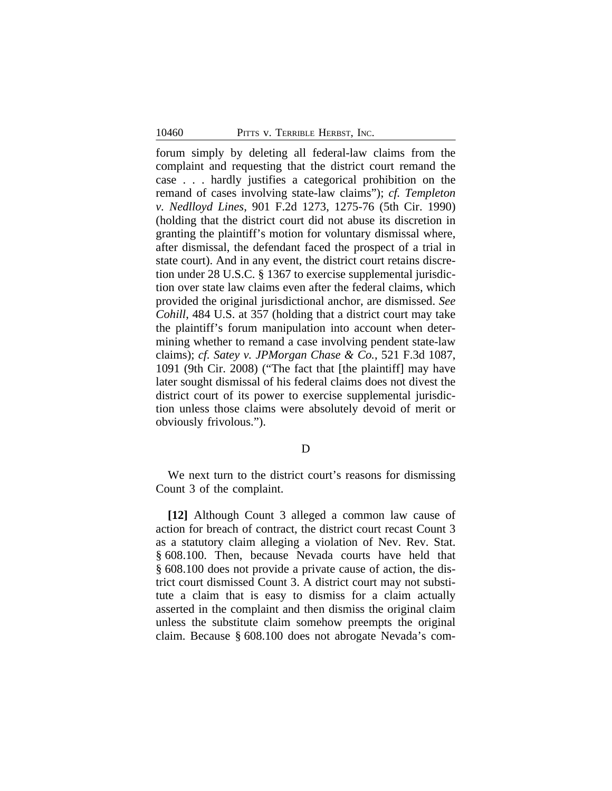forum simply by deleting all federal-law claims from the complaint and requesting that the district court remand the case . . . hardly justifies a categorical prohibition on the remand of cases involving state-law claims"); *cf. Templeton v. Nedlloyd Lines*, 901 F.2d 1273, 1275-76 (5th Cir. 1990) (holding that the district court did not abuse its discretion in granting the plaintiff's motion for voluntary dismissal where, after dismissal, the defendant faced the prospect of a trial in state court). And in any event, the district court retains discretion under 28 U.S.C. § 1367 to exercise supplemental jurisdiction over state law claims even after the federal claims, which provided the original jurisdictional anchor, are dismissed. *See Cohill*, 484 U.S. at 357 (holding that a district court may take the plaintiff's forum manipulation into account when determining whether to remand a case involving pendent state-law claims); *cf. Satey v. JPMorgan Chase & Co.*, 521 F.3d 1087, 1091 (9th Cir. 2008) ("The fact that [the plaintiff] may have later sought dismissal of his federal claims does not divest the district court of its power to exercise supplemental jurisdiction unless those claims were absolutely devoid of merit or obviously frivolous.").

#### D

We next turn to the district court's reasons for dismissing Count 3 of the complaint.

**[12]** Although Count 3 alleged a common law cause of action for breach of contract, the district court recast Count 3 as a statutory claim alleging a violation of Nev. Rev. Stat. § 608.100. Then, because Nevada courts have held that § 608.100 does not provide a private cause of action, the district court dismissed Count 3. A district court may not substitute a claim that is easy to dismiss for a claim actually asserted in the complaint and then dismiss the original claim unless the substitute claim somehow preempts the original claim. Because § 608.100 does not abrogate Nevada's com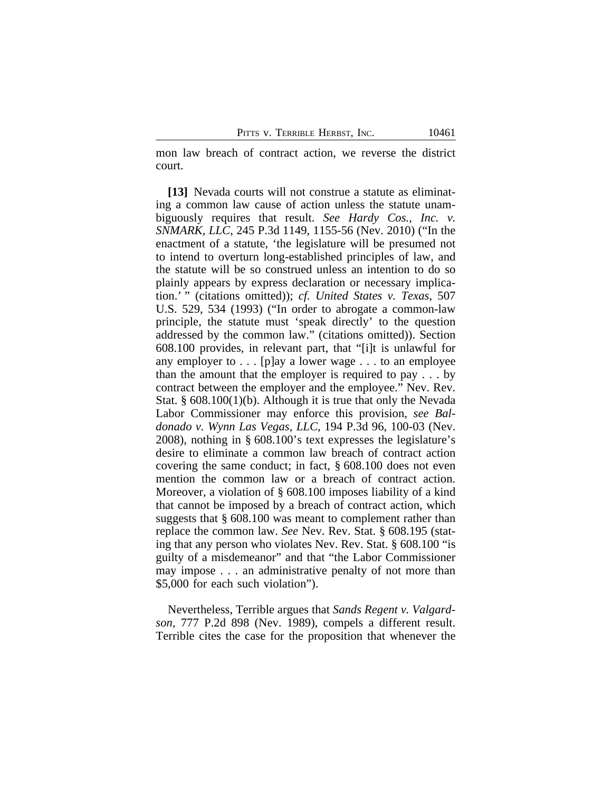mon law breach of contract action, we reverse the district court.

**[13]** Nevada courts will not construe a statute as eliminating a common law cause of action unless the statute unambiguously requires that result. *See Hardy Cos., Inc. v. SNMARK, LLC*, 245 P.3d 1149, 1155-56 (Nev. 2010) ("In the enactment of a statute, 'the legislature will be presumed not to intend to overturn long-established principles of law, and the statute will be so construed unless an intention to do so plainly appears by express declaration or necessary implication.' " (citations omitted)); *cf. United States v. Texas*, 507 U.S. 529, 534 (1993) ("In order to abrogate a common-law principle, the statute must 'speak directly' to the question addressed by the common law." (citations omitted)). Section 608.100 provides, in relevant part, that "[i]t is unlawful for any employer to . . . [p]ay a lower wage . . . to an employee than the amount that the employer is required to pay . . . by contract between the employer and the employee." Nev. Rev. Stat. § 608.100(1)(b). Although it is true that only the Nevada Labor Commissioner may enforce this provision, *see Baldonado v. Wynn Las Vegas, LLC*, 194 P.3d 96, 100-03 (Nev. 2008), nothing in § 608.100's text expresses the legislature's desire to eliminate a common law breach of contract action covering the same conduct; in fact, § 608.100 does not even mention the common law or a breach of contract action. Moreover, a violation of § 608.100 imposes liability of a kind that cannot be imposed by a breach of contract action, which suggests that § 608.100 was meant to complement rather than replace the common law. *See* Nev. Rev. Stat. § 608.195 (stating that any person who violates Nev. Rev. Stat. § 608.100 "is guilty of a misdemeanor" and that "the Labor Commissioner may impose . . . an administrative penalty of not more than \$5,000 for each such violation").

Nevertheless, Terrible argues that *Sands Regent v. Valgardson*, 777 P.2d 898 (Nev. 1989), compels a different result. Terrible cites the case for the proposition that whenever the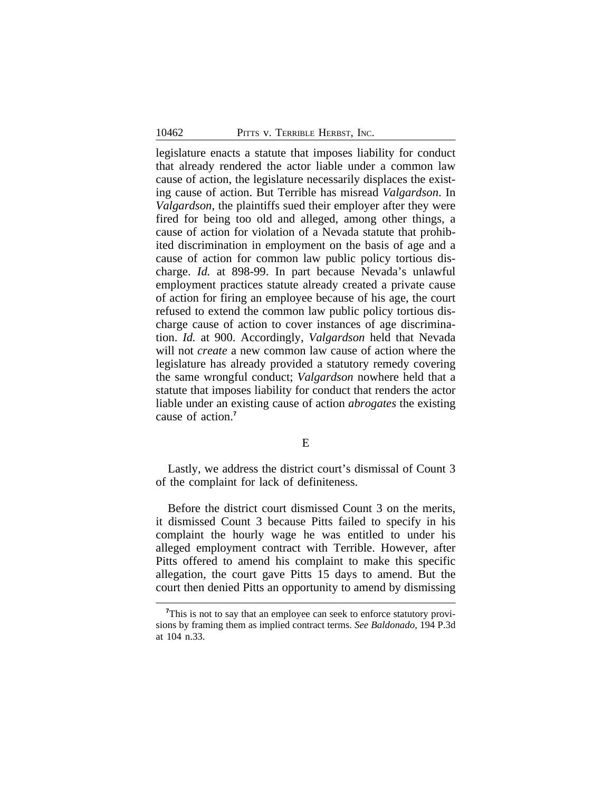legislature enacts a statute that imposes liability for conduct that already rendered the actor liable under a common law cause of action, the legislature necessarily displaces the existing cause of action. But Terrible has misread *Valgardson*. In *Valgardson*, the plaintiffs sued their employer after they were fired for being too old and alleged, among other things, a cause of action for violation of a Nevada statute that prohibited discrimination in employment on the basis of age and a cause of action for common law public policy tortious discharge. *Id.* at 898-99. In part because Nevada's unlawful employment practices statute already created a private cause of action for firing an employee because of his age, the court refused to extend the common law public policy tortious discharge cause of action to cover instances of age discrimination. *Id.* at 900. Accordingly, *Valgardson* held that Nevada will not *create* a new common law cause of action where the legislature has already provided a statutory remedy covering the same wrongful conduct; *Valgardson* nowhere held that a statute that imposes liability for conduct that renders the actor liable under an existing cause of action *abrogates* the existing cause of action.**<sup>7</sup>**

E

Lastly, we address the district court's dismissal of Count 3 of the complaint for lack of definiteness.

Before the district court dismissed Count 3 on the merits, it dismissed Count 3 because Pitts failed to specify in his complaint the hourly wage he was entitled to under his alleged employment contract with Terrible. However, after Pitts offered to amend his complaint to make this specific allegation, the court gave Pitts 15 days to amend. But the court then denied Pitts an opportunity to amend by dismissing

<sup>&</sup>lt;sup>7</sup>This is not to say that an employee can seek to enforce statutory provisions by framing them as implied contract terms. *See Baldonado*, 194 P.3d at 104 n.33.